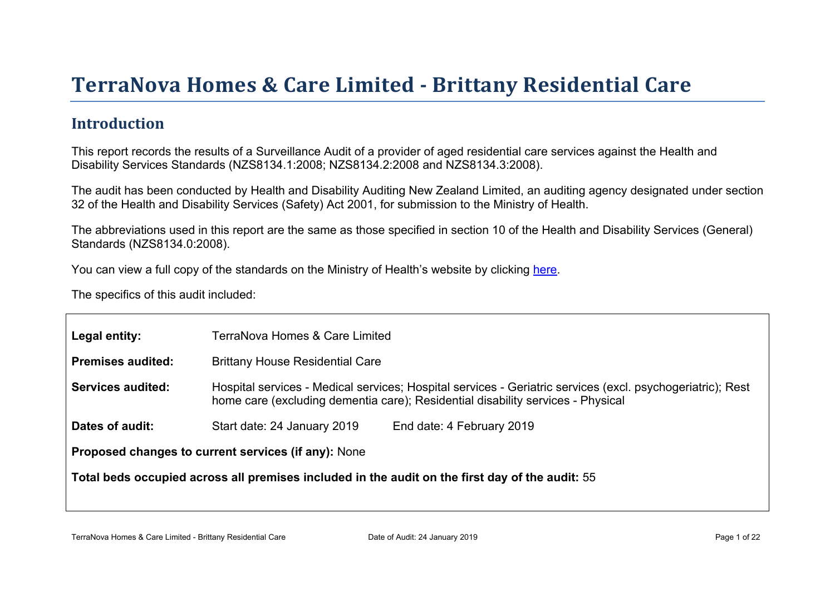# Terr aNova Homes & Car e Limited - Brittany Residential Car e

#### **Introduction**

This report records the results of a Surveillance Audit of a provider of aged residential care services against the Health and Disability Services Standards (NZS8134.1:2008; NZS8134.2:2008 and NZS8134.3:2008).

The audit has been conducted by Health and Disability Auditing New Zealand Limited, an auditing agency designated under section 32 of the Health and Disability Services (Safety) Act 2001, for submission to the Ministry of Health.

The abbreviations used in this report are the same as those specified in section 10 of the Health and Disability Services (General) Standards (NZS8134.0:2008).

You can view a full copy of the standards on the Ministry of Health's website by clicking [here.](http://www.health.govt.nz/our-work/regulation-health-and-disability-system/certification-health-care-services/health-and-disability-services-standards)

The specifics of this audit included:

| Legal entity:                                       | TerraNova Homes & Care Limited                                                                                                                                                                |  |  |  |
|-----------------------------------------------------|-----------------------------------------------------------------------------------------------------------------------------------------------------------------------------------------------|--|--|--|
| Premises audited:                                   | <b>Brittany House Residential Care</b>                                                                                                                                                        |  |  |  |
| Services audited:                                   | Hospital services - Medical services; Hospital services - Geriatric services (excl. psychogeriatric); Rest<br>home care (excluding dementia care); Residential disability services - Physical |  |  |  |
| Dates of audit:                                     | End date: 4 February 2019<br>Start date: 24 January 2019                                                                                                                                      |  |  |  |
| Proposed changes to current services (if any): None |                                                                                                                                                                                               |  |  |  |
|                                                     | Total beds occupied across all premises included<br>in the audit on the first day of the audit: 55                                                                                            |  |  |  |
|                                                     |                                                                                                                                                                                               |  |  |  |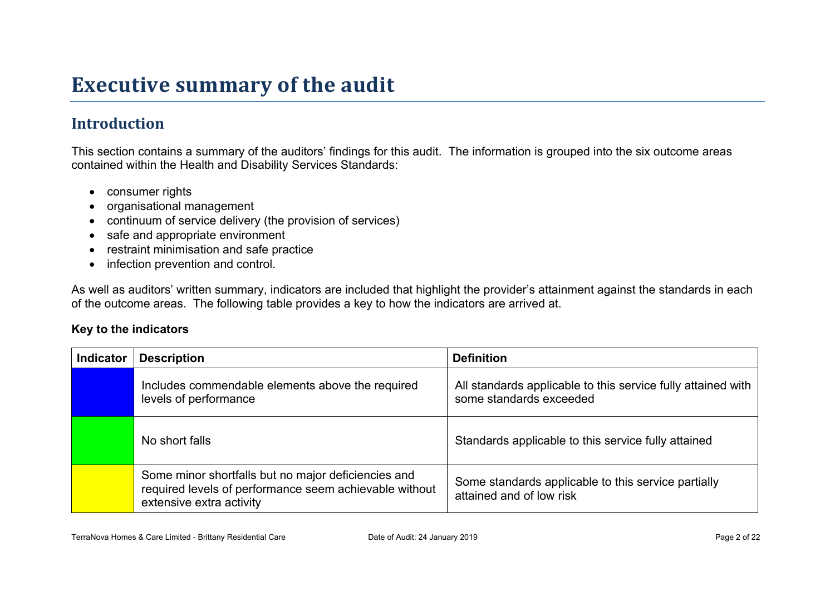## **Executive summary of the audit**

### **Introduction**

This section contains a summary of the auditors' findings for this audit. The information is grouped into the six outcome areas contained within the Health and Disability Services Standards:

- consumer rights
- organisational management
- continuum of service delivery (the provision of services)
- safe and appropriate environment
- restraint minimisation and safe practice
- infection prevention and control.

As well as auditors' written summary, indicators are included that highlight the provider's attainment against the standards in each of the outcome areas. The following table provides a key to how the indicators are arrived at.

#### **Key to the indicators**

| <b>Indicator</b> | <b>Description</b>                                                                                                                        | <b>Definition</b>                                                                       |
|------------------|-------------------------------------------------------------------------------------------------------------------------------------------|-----------------------------------------------------------------------------------------|
|                  | Includes commendable elements above the required<br>levels of performance                                                                 | All standards applicable to this service fully attained with<br>some standards exceeded |
|                  | No short falls                                                                                                                            | Standards applicable to this service fully attained                                     |
|                  | Some minor shortfalls but no major deficiencies and<br>required levels of performance seem achievable without<br>extensive extra activity | Some standards applicable to this service partially<br>attained and of low risk         |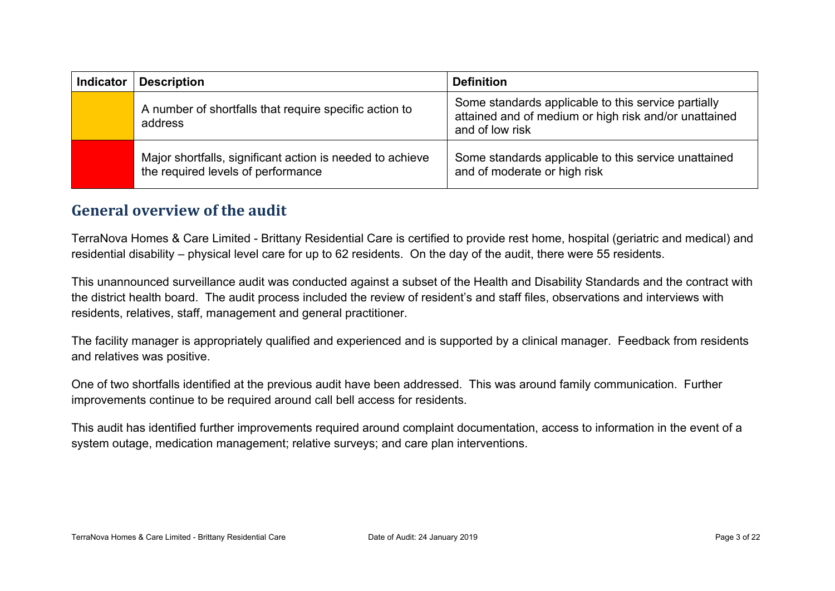| <b>Indicator</b> | <b>Description</b>                                                                              | <b>Definition</b>                                                                                                               |
|------------------|-------------------------------------------------------------------------------------------------|---------------------------------------------------------------------------------------------------------------------------------|
|                  | A number of shortfalls that require specific action to<br>address                               | Some standards applicable to this service partially<br>attained and of medium or high risk and/or unattained<br>and of low risk |
|                  | Major shortfalls, significant action is needed to achieve<br>the required levels of performance | Some standards applicable to this service unattained<br>and of moderate or high risk                                            |

#### **General overview of the audit**

TerraNova Homes & Care Limited - Brittany Residential Care is certified to provide rest home, hospital (geriatric and medical) and residential disability – physical level care for up to 62 residents. On the day of the audit, there were 55 residents.

This unannounced surveillance audit was conducted against a subset of the Health and Disability Standards and the contract with the district health board. The audit process included the review of resident's and staff files, observations and interviews with residents, relatives, staff, management and general practitioner.

The facility manager is appropriately qualified and experienced and is supported by a clinical manager. Feedback from residents and relatives was positive.

One of two shortfalls identified at the previous audit have been addressed. This was around family communication. Further improvements continue to be required around call bell access for residents.

This audit has identified further improvements required around complaint documentation, access to information in the event of a system outage, medication management; relative surveys; and care plan interventions.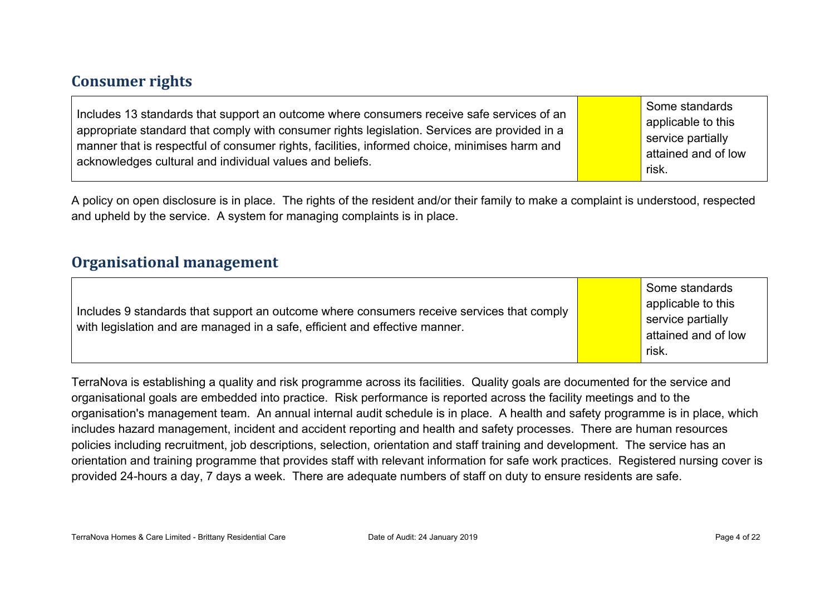#### **Consumer rights**

A policy on open disclosure is in place. The rights of the resident and/or their family to make a complaint is understood, respected and upheld by the service. A system for managing complaints is in place.

#### **Organisational management**

| Includes 9 standards that support an outcome where consumers receive services that comply<br>with legislation and are managed in a safe, efficient and effective manner. |  | Some standards<br>applicable to this<br>service partially<br>attained and of low<br>risk. |
|--------------------------------------------------------------------------------------------------------------------------------------------------------------------------|--|-------------------------------------------------------------------------------------------|
|--------------------------------------------------------------------------------------------------------------------------------------------------------------------------|--|-------------------------------------------------------------------------------------------|

TerraNova is establishing a quality and risk programme across its facilities. Quality goals are documented for the service and organisational goals are embedded into practice. Risk performance is reported across the facility meetings and to the organisation's management team. An annual internal audit schedule is in place. A health and safety programme is in place, which includes hazard management, incident and accident reporting and health and safety processes. There are human resources policies including recruitment, job descriptions, selection, orientation and staff training and development. The service has an orientation and training programme that provides staff with relevant information for safe work practices. Registered nursing cover is provided 24-hours a day, 7 days a week. There are adequate numbers of staff on duty to ensure residents are safe.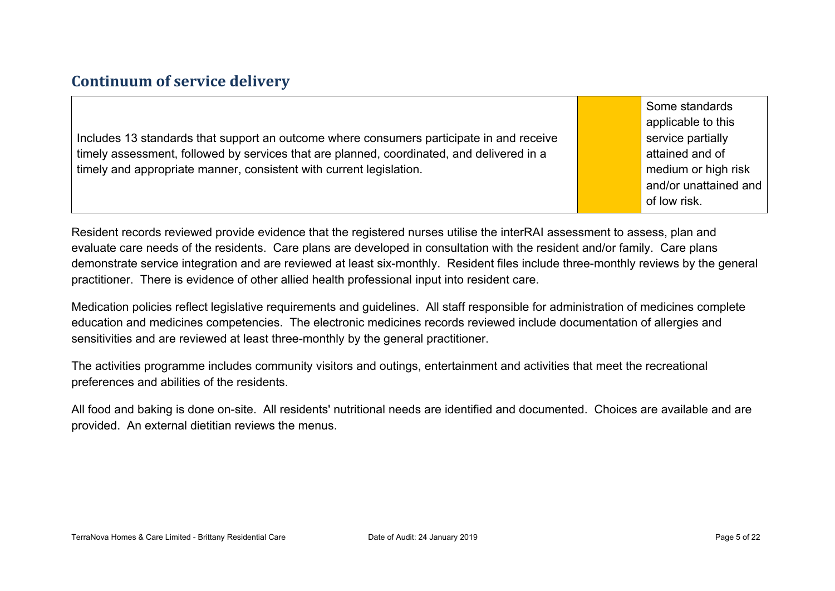#### **Continuum of service delivery**

Includes 13 standards that support an outcome where consumers participate in and receive timely assessment, followed by services that are planned, coordinated, and delivered in a timely and appropriate manner, consistent with current legislation.

Some standards applicable to this service partially attained and of medium or high risk and/or unattained and of low risk.

Resident records reviewed provide evidence that the registered nurses utilise the interRAI assessment to assess, plan and evaluate care needs of the residents. Care plans are developed in consultation with the resident and/or family. Care plans demonstrate service integration and are reviewed at least six-monthly. Resident files include three-monthly reviews by the general practitioner. There is evidence of other allied health professional input into resident care.

Medication policies reflect legislative requirements and guidelines. All staff responsible for administration of medicines complete education and medicines competencies. The electronic medicines records reviewed include documentation of allergies and sensitivities and are reviewed at least three-monthly by the general practitioner.

The activities programme includes community visitors and outings, entertainment and activities that meet the recreational preferences and abilities of the residents.

All food and baking is done on-site. All residents' nutritional needs are identified and documented. Choices are available and are provided. An external dietitian reviews the menus.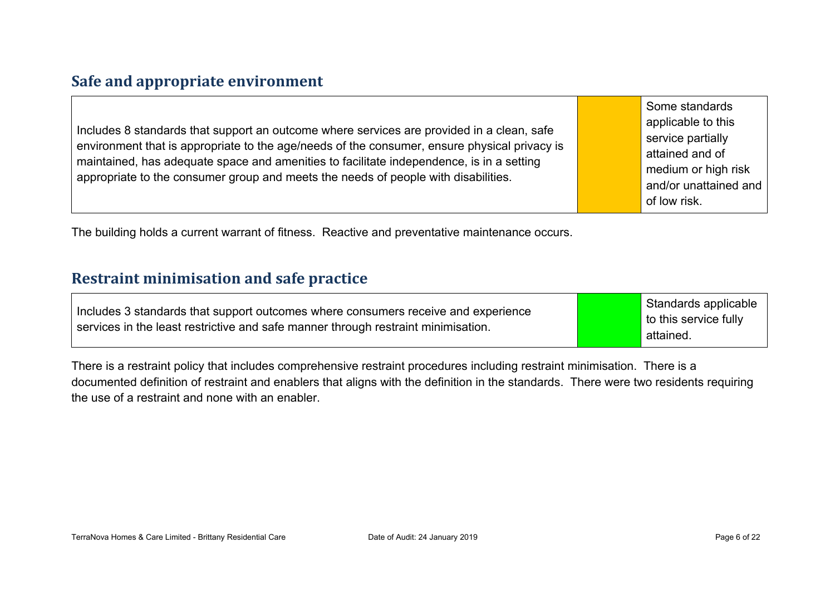#### **Safe and appropriate environment**

Includes 8 standards that support an outcome where services are provided in a clean, safe environment that is appropriate to the age/needs of the consumer, ensure physical privacy is maintained, has adequate space and amenities to facilitate independence, is in a setting appropriate to the consumer group and meets the needs of people with disabilities.

Some standards applicable to this service partially attained and of medium or high risk and/or unattained and of low risk.

The building holds a current warrant of fitness. Reactive and preventative maintenance occurs.

#### **Restraint minimisation and safe practice**

There is a restraint policy that includes comprehensive restraint procedures including restraint minimisation. There is a documented definition of restraint and enablers that aligns with the definition in the standards. There were two residents requiring the use of a restraint and none with an enabler.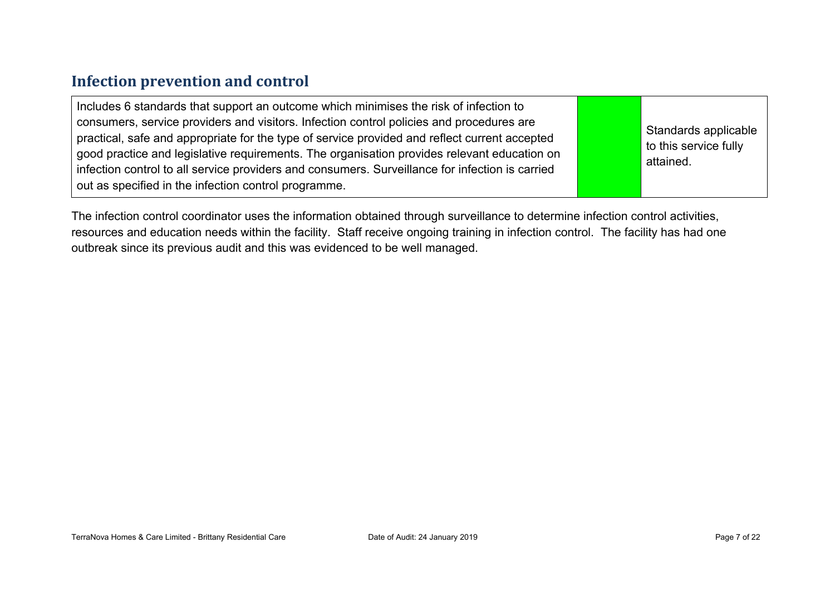#### **Infection prevention and control**

The infection control coordinator uses the information obtained through surveillance to determine infection control activities, resources and education needs within the facility. Staff receive ongoing training in infection control. The facility has had one outbreak since its previous audit and this was evidenced to be well managed.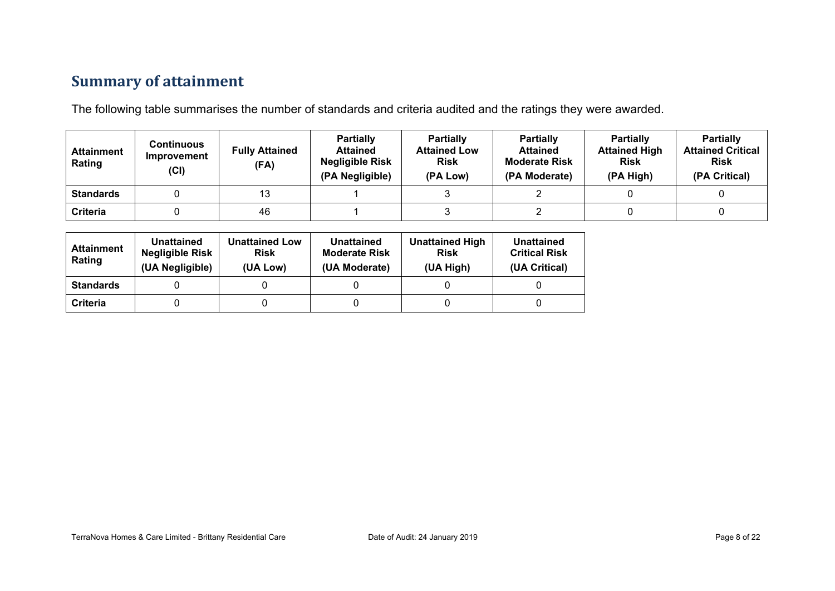### **Summary of attainment**

The following table summarises the number of standards and criteria audited and the ratings they were awarded.

| <b>Attainment</b><br>Rating | Continuous<br>Improvement<br>(Cl) | <b>Fully Attained</b><br>(FA) | <b>Partially</b><br><b>Attained</b><br><b>Negligible Risk</b><br>(PA Negligible) | <b>Partially</b><br><b>Attained Low</b><br><b>Risk</b><br>(PA Low) | <b>Partially</b><br><b>Attained</b><br><b>Moderate Risk</b><br>(PA Moderate) | <b>Partially</b><br><b>Attained High</b><br><b>Risk</b><br>(PA High) | <b>Partially</b><br><b>Attained Critical</b><br><b>Risk</b><br>(PA Critical) |
|-----------------------------|-----------------------------------|-------------------------------|----------------------------------------------------------------------------------|--------------------------------------------------------------------|------------------------------------------------------------------------------|----------------------------------------------------------------------|------------------------------------------------------------------------------|
| <b>Standards</b>            |                                   | 13                            |                                                                                  |                                                                    |                                                                              |                                                                      |                                                                              |
| Criteria                    |                                   | 46                            |                                                                                  |                                                                    |                                                                              |                                                                      |                                                                              |

| <b>Attainment</b><br>Rating | Unattained<br><b>Negligible Risk</b><br>(UA Negligible) | <b>Unattained Low</b><br><b>Risk</b><br>(UA Low) | Unattained<br><b>Moderate Risk</b><br>(UA Moderate) | <b>Unattained High</b><br><b>Risk</b><br>(UA High) | Unattained<br><b>Critical Risk</b><br>(UA Critical) |
|-----------------------------|---------------------------------------------------------|--------------------------------------------------|-----------------------------------------------------|----------------------------------------------------|-----------------------------------------------------|
| <b>Standards</b>            |                                                         |                                                  |                                                     |                                                    |                                                     |
| Criteria                    |                                                         |                                                  |                                                     |                                                    |                                                     |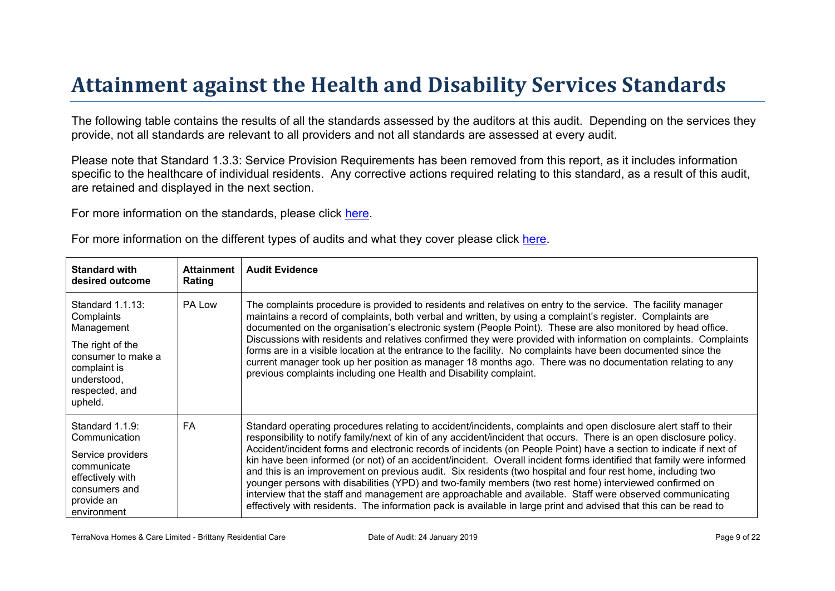# Attainment against the Health and Disability Ser vices Standar ds

The following table contains the results of all the standards assessed by the auditors at this audit. Depending on the services they provide, not all standards are relevant to all providers and not all standards are assessed at every audit.

Please note that Standard 1.3.3: Service Provision Requirements has been removed from this report, as it includes information specific to the healthcare of individual residents. Any corrective actions required relating to this standard, as a result of this audit, are retained and displayed in the next section.

For more information on the standards, please click [here](http://www.health.govt.nz/our-work/regulation-health-and-disability-system/certification-health-care-services/health-and-disability-services-standards).

|  |  |  |  | For more information on the different types of audits and what they cover please click here. |
|--|--|--|--|----------------------------------------------------------------------------------------------|
|--|--|--|--|----------------------------------------------------------------------------------------------|

| Standard with<br>desired outcome                                                                                                                   | Attainment<br>Rating | Audit Evidence                                                                                                                                                                                                                                                                                                                                                                                                                                                                                                                                                                                                                                                                                                                                                                                                                                                                                                                                        |
|----------------------------------------------------------------------------------------------------------------------------------------------------|----------------------|-------------------------------------------------------------------------------------------------------------------------------------------------------------------------------------------------------------------------------------------------------------------------------------------------------------------------------------------------------------------------------------------------------------------------------------------------------------------------------------------------------------------------------------------------------------------------------------------------------------------------------------------------------------------------------------------------------------------------------------------------------------------------------------------------------------------------------------------------------------------------------------------------------------------------------------------------------|
| Standard 1.1.13:<br>Complaints<br>Management<br>The right of the<br>consumer to make a<br>complaint is<br>understood,<br>respected, and<br>upheld. | PA Low               | The complaints procedure is provided to residents and relatives on entry to the service. The facility manager<br>maintains a record of complaints, both verbal and written, by using a complaint's register. Complaints are<br>documented on the organisation's electronic system (People Point). These are also monitored by head office.<br>Discussions with residents and relatives confirmed they were provided with information on complaints. Complaints<br>forms are in a visible location at the entrance to the facility. No complaints have been documented since the<br>current manager took up her position as manager 18 months ago. There was no documentation relating to any<br>previous complaints including one Health and Disability complaint.                                                                                                                                                                                    |
| Standard 1.1.9:<br>Communication<br>Service providers<br>communicate<br>effectively with<br>consumers and<br>provide an<br>environment             | FA.                  | Standard operating procedures relating to accident/incidents, complaints and open disclosure alert staff to their<br>responsibility to notify family/next of kin of any accident/incident that occurs. There is an open disclosure policy.<br>Accident/incident forms and electronic records of incidents (on People Point) have a section to indicate if next of<br>kin have been informed (or not) of an accident/incident. Overall incident forms identified that family were informed<br>and this is an improvement on previous audit. Six residents (two hospital and four rest home, including two<br>younger persons with disabilities (YPD) and two-family members (two rest home) interviewed confirmed on<br>interview that the staff and management are approachable and available. Staff were observed communicating<br>effectively with residents. The information pack is available in large print and advised that this can be read to |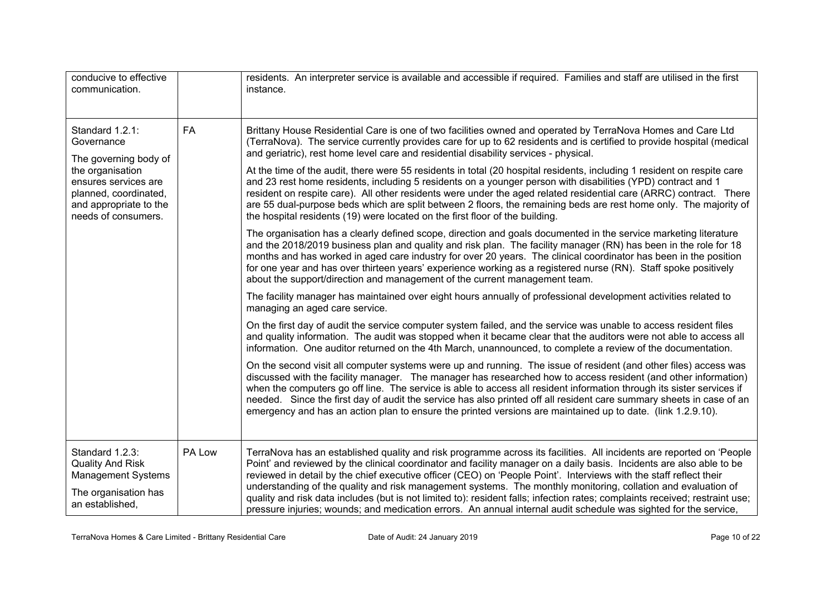| conducive to effective<br>communication.                                                                                                                                     |        | residents. An interpreter service is available and accessible if required. Families and staff are utilised in the first<br>instance.                                                                                                                                                                                                                                                                                                                                                                                                                                                                                                                                                                                                                                                                                                                                                                                                                                                                                                                                                                                                                                                                                                                                                                                                                                                                                                                                                                                                                                                                                                                                                                                                                                                                                                                                                                                                                                                                                                                                                                                                                                                                                                                                                                                                                                                                                                                                                                                                                                                |
|------------------------------------------------------------------------------------------------------------------------------------------------------------------------------|--------|-------------------------------------------------------------------------------------------------------------------------------------------------------------------------------------------------------------------------------------------------------------------------------------------------------------------------------------------------------------------------------------------------------------------------------------------------------------------------------------------------------------------------------------------------------------------------------------------------------------------------------------------------------------------------------------------------------------------------------------------------------------------------------------------------------------------------------------------------------------------------------------------------------------------------------------------------------------------------------------------------------------------------------------------------------------------------------------------------------------------------------------------------------------------------------------------------------------------------------------------------------------------------------------------------------------------------------------------------------------------------------------------------------------------------------------------------------------------------------------------------------------------------------------------------------------------------------------------------------------------------------------------------------------------------------------------------------------------------------------------------------------------------------------------------------------------------------------------------------------------------------------------------------------------------------------------------------------------------------------------------------------------------------------------------------------------------------------------------------------------------------------------------------------------------------------------------------------------------------------------------------------------------------------------------------------------------------------------------------------------------------------------------------------------------------------------------------------------------------------------------------------------------------------------------------------------------------------|
| Standard 1.2.1:<br>Governance<br>The governing body of<br>the organisation<br>ensures services are<br>planned, coordinated,<br>and appropriate to the<br>needs of consumers. | FA     | Brittany House Residential Care is one of two facilities owned and operated by TerraNova Homes and Care Ltd<br>(TerraNova). The service currently provides care for up to 62 residents and is certified to provide hospital (medical<br>and geriatric), rest home level care and residential disability services - physical.<br>At the time of the audit, there were 55 residents in total (20 hospital residents, including 1 resident on respite care<br>and 23 rest home residents, including 5 residents on a younger person with disabilities (YPD) contract and 1<br>resident on respite care). All other residents were under the aged related residential care (ARRC) contract. There<br>are 55 dual-purpose beds which are split between 2 floors, the remaining beds are rest home only. The majority of<br>the hospital residents (19) were located on the first floor of the building.<br>The organisation has a clearly defined scope, direction and goals documented in the service marketing literature<br>and the 2018/2019 business plan and quality and risk plan. The facility manager (RN) has been in the role for 18<br>months and has worked in aged care industry for over 20 years. The clinical coordinator has been in the position<br>for one year and has over thirteen years' experience working as a registered nurse (RN). Staff spoke positively<br>about the support/direction and management of the current management team.<br>The facility manager has maintained over eight hours annually of professional development activities related to<br>managing an aged care service.<br>On the first day of audit the service computer system failed, and the service was unable to access resident files<br>and quality information. The audit was stopped when it became clear that the auditors were not able to access all<br>information. One auditor returned on the 4th March, unannounced, to complete a review of the documentation.<br>On the second visit all computer systems were up and running. The issue of resident (and other files) access was<br>discussed with the facility manager. The manager has researched how to access resident (and other information)<br>when the computers go off line. The service is able to access all resident information through its sister services if<br>needed. Since the first day of audit the service has also printed off all resident care summary sheets in case of an<br>emergency and has an action plan to ensure the printed versions are maintained up to date. (link 1.2.9.10). |
| Standard 1.2.3:<br><b>Quality And Risk</b><br><b>Management Systems</b><br>The organisation has<br>an established,                                                           | PA Low | TerraNova has an established quality and risk programme across its facilities. All incidents are reported on 'People<br>Point' and reviewed by the clinical coordinator and facility manager on a daily basis. Incidents are also able to be<br>reviewed in detail by the chief executive officer (CEO) on 'People Point'. Interviews with the staff reflect their<br>understanding of the quality and risk management systems. The monthly monitoring, collation and evaluation of<br>quality and risk data includes (but is not limited to): resident falls; infection rates; complaints received; restraint use;<br>pressure injuries; wounds; and medication errors. An annual internal audit schedule was sighted for the service.                                                                                                                                                                                                                                                                                                                                                                                                                                                                                                                                                                                                                                                                                                                                                                                                                                                                                                                                                                                                                                                                                                                                                                                                                                                                                                                                                                                                                                                                                                                                                                                                                                                                                                                                                                                                                                             |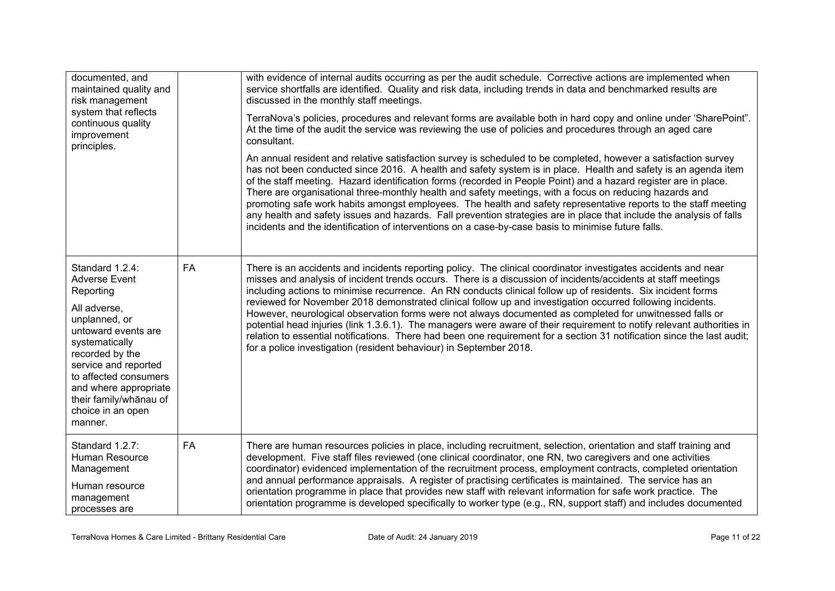| documented, and<br>maintained quality and<br>risk management<br>system that reflects<br>continuous quality<br>improvement<br>principles.                                                                                                                                              |           | with evidence of internal audits occurring as per the audit schedule. Corrective actions are implemented when<br>service shortfalls are identified. Quality and risk data, including trends in data and benchmarked results are<br>discussed in the monthly staff meetings.<br>TerraNova's policies, procedures and relevant forms are available both in hard copy and online under 'SharePoint".<br>At the time of the audit the service was reviewing the use of policies and procedures through an aged care<br>consultant.<br>An annual resident and relative satisfaction survey is scheduled to be completed, however a satisfaction survey<br>has not been conducted since 2016. A health and safety system is in place. Health and safety is an agenda item<br>of the staff meeting. Hazard identification forms (recorded in People Point) and a hazard register are in place.<br>There are organisational three-monthly health and safety meetings, with a focus on reducing hazards and<br>promoting safe work habits amongst employees. The health and safety representative reports to the staff meeting<br>any health and safety issues and hazards. Fall prevention strategies are in place that include the analysis of falls<br>incidents and the identification of interventions on a case-by-case basis to minimise future falls. |
|---------------------------------------------------------------------------------------------------------------------------------------------------------------------------------------------------------------------------------------------------------------------------------------|-----------|------------------------------------------------------------------------------------------------------------------------------------------------------------------------------------------------------------------------------------------------------------------------------------------------------------------------------------------------------------------------------------------------------------------------------------------------------------------------------------------------------------------------------------------------------------------------------------------------------------------------------------------------------------------------------------------------------------------------------------------------------------------------------------------------------------------------------------------------------------------------------------------------------------------------------------------------------------------------------------------------------------------------------------------------------------------------------------------------------------------------------------------------------------------------------------------------------------------------------------------------------------------------------------------------------------------------------------------------------|
| Standard 1.2.4:<br><b>Adverse Event</b><br>Reporting<br>All adverse,<br>unplanned, or<br>untoward events are<br>systematically<br>recorded by the<br>service and reported<br>to affected consumers<br>and where appropriate<br>their family/whānau of<br>choice in an open<br>manner. | <b>FA</b> | There is an accidents and incidents reporting policy. The clinical coordinator investigates accidents and near<br>misses and analysis of incident trends occurs. There is a discussion of incidents/accidents at staff meetings<br>including actions to minimise recurrence. An RN conducts clinical follow up of residents. Six incident forms<br>reviewed for November 2018 demonstrated clinical follow up and investigation occurred following incidents.<br>However, neurological observation forms were not always documented as completed for unwitnessed falls or<br>potential head injuries (link 1.3.6.1). The managers were aware of their requirement to notify relevant authorities in<br>relation to essential notifications. There had been one requirement for a section 31 notification since the last audit;<br>for a police investigation (resident behaviour) in September 2018.                                                                                                                                                                                                                                                                                                                                                                                                                                                 |
| Standard 1.2.7:<br>Human Resource<br>Management<br>Human resource<br>management<br>processes are                                                                                                                                                                                      | <b>FA</b> | There are human resources policies in place, including recruitment, selection, orientation and staff training and<br>development. Five staff files reviewed (one clinical coordinator, one RN, two caregivers and one activities<br>coordinator) evidenced implementation of the recruitment process, employment contracts, completed orientation<br>and annual performance appraisals. A register of practising certificates is maintained. The service has an<br>orientation programme in place that provides new staff with relevant information for safe work practice. The<br>orientation programme is developed specifically to worker type (e.g., RN, support staff) and includes documented                                                                                                                                                                                                                                                                                                                                                                                                                                                                                                                                                                                                                                                  |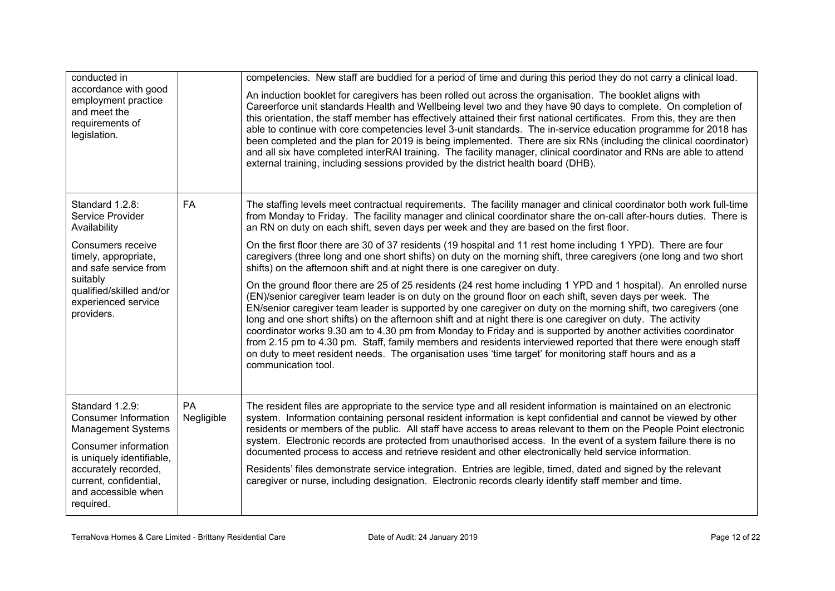| conducted in                                                                                   |                  | competencies. New staff are buddied for a period of time and during this period they do not carry a clinical load.                                                                                                                                                                                                                                                                                                                                                                                                                                                                                                                                                                                                                                                                                                                   |
|------------------------------------------------------------------------------------------------|------------------|--------------------------------------------------------------------------------------------------------------------------------------------------------------------------------------------------------------------------------------------------------------------------------------------------------------------------------------------------------------------------------------------------------------------------------------------------------------------------------------------------------------------------------------------------------------------------------------------------------------------------------------------------------------------------------------------------------------------------------------------------------------------------------------------------------------------------------------|
| accordance with good<br>employment practice<br>and meet the<br>requirements of<br>legislation. |                  | An induction booklet for caregivers has been rolled out across the organisation. The booklet aligns with<br>Careerforce unit standards Health and Wellbeing level two and they have 90 days to complete. On completion of<br>this orientation, the staff member has effectively attained their first national certificates. From this, they are then<br>able to continue with core competencies level 3-unit standards. The in-service education programme for 2018 has<br>been completed and the plan for 2019 is being implemented. There are six RNs (including the clinical coordinator)<br>and all six have completed interRAI training. The facility manager, clinical coordinator and RNs are able to attend<br>external training, including sessions provided by the district health board (DHB).                            |
| Standard 1.2.8:<br>Service Provider<br>Availability                                            | FA               | The staffing levels meet contractual requirements. The facility manager and clinical coordinator both work full-time<br>from Monday to Friday. The facility manager and clinical coordinator share the on-call after-hours duties. There is<br>an RN on duty on each shift, seven days per week and they are based on the first floor.                                                                                                                                                                                                                                                                                                                                                                                                                                                                                               |
| Consumers receive<br>timely, appropriate,<br>and safe service from                             |                  | On the first floor there are 30 of 37 residents (19 hospital and 11 rest home including 1 YPD). There are four<br>caregivers (three long and one short shifts) on duty on the morning shift, three caregivers (one long and two short<br>shifts) on the afternoon shift and at night there is one caregiver on duty.                                                                                                                                                                                                                                                                                                                                                                                                                                                                                                                 |
| suitably<br>qualified/skilled and/or<br>experienced service<br>providers.                      |                  | On the ground floor there are 25 of 25 residents (24 rest home including 1 YPD and 1 hospital). An enrolled nurse<br>(EN)/senior caregiver team leader is on duty on the ground floor on each shift, seven days per week. The<br>EN/senior caregiver team leader is supported by one caregiver on duty on the morning shift, two caregivers (one<br>long and one short shifts) on the afternoon shift and at night there is one caregiver on duty. The activity<br>coordinator works 9.30 am to 4.30 pm from Monday to Friday and is supported by another activities coordinator<br>from 2.15 pm to 4.30 pm. Staff, family members and residents interviewed reported that there were enough staff<br>on duty to meet resident needs. The organisation uses 'time target' for monitoring staff hours and as a<br>communication tool. |
| Standard 1.2.9:<br><b>Consumer Information</b><br><b>Management Systems</b>                    | PA<br>Negligible | The resident files are appropriate to the service type and all resident information is maintained on an electronic<br>system. Information containing personal resident information is kept confidential and cannot be viewed by other<br>residents or members of the public. All staff have access to areas relevant to them on the People Point electronic                                                                                                                                                                                                                                                                                                                                                                                                                                                                          |
| Consumer information<br>is uniquely identifiable,                                              |                  | system. Electronic records are protected from unauthorised access. In the event of a system failure there is no<br>documented process to access and retrieve resident and other electronically held service information.                                                                                                                                                                                                                                                                                                                                                                                                                                                                                                                                                                                                             |
| accurately recorded,<br>current, confidential,<br>and accessible when<br>required.             |                  | Residents' files demonstrate service integration. Entries are legible, timed, dated and signed by the relevant<br>caregiver or nurse, including designation. Electronic records clearly identify staff member and time.                                                                                                                                                                                                                                                                                                                                                                                                                                                                                                                                                                                                              |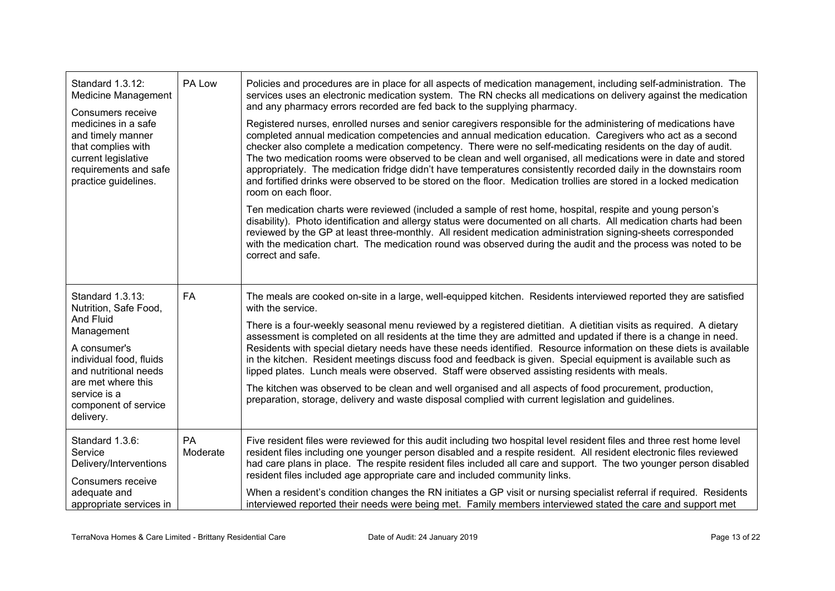| Standard 1.3.12:<br><b>Medicine Management</b><br>Consumers receive<br>medicines in a safe<br>and timely manner<br>that complies with<br>current legislative<br>requirements and safe<br>practice guidelines.<br>Standard 1.3.13:<br>Nutrition, Safe Food,<br>And Fluid<br>Management<br>A consumer's<br>individual food, fluids<br>and nutritional needs<br>are met where this<br>service is a<br>component of service<br>delivery.<br>Standard 1.3.6:<br>Service<br>Delivery/Interventions<br>Consumers receive<br>adequate and<br>appropriate services in | PA Low         | Policies and procedures are in place for all aspects of medication management, including self-administration. The<br>services uses an electronic medication system. The RN checks all medications on delivery against the medication<br>and any pharmacy errors recorded are fed back to the supplying pharmacy.<br>Registered nurses, enrolled nurses and senior caregivers responsible for the administering of medications have<br>completed annual medication competencies and annual medication education. Caregivers who act as a second<br>checker also complete a medication competency. There were no self-medicating residents on the day of audit.<br>The two medication rooms were observed to be clean and well organised, all medications were in date and stored<br>appropriately. The medication fridge didn't have temperatures consistently recorded daily in the downstairs room<br>and fortified drinks were observed to be stored on the floor. Medication trollies are stored in a locked medication<br>room on each floor.<br>Ten medication charts were reviewed (included a sample of rest home, hospital, respite and young person's<br>disability). Photo identification and allergy status were documented on all charts. All medication charts had been<br>reviewed by the GP at least three-monthly. All resident medication administration signing-sheets corresponded<br>with the medication chart. The medication round was observed during the audit and the process was noted to be<br>correct and safe. |
|--------------------------------------------------------------------------------------------------------------------------------------------------------------------------------------------------------------------------------------------------------------------------------------------------------------------------------------------------------------------------------------------------------------------------------------------------------------------------------------------------------------------------------------------------------------|----------------|---------------------------------------------------------------------------------------------------------------------------------------------------------------------------------------------------------------------------------------------------------------------------------------------------------------------------------------------------------------------------------------------------------------------------------------------------------------------------------------------------------------------------------------------------------------------------------------------------------------------------------------------------------------------------------------------------------------------------------------------------------------------------------------------------------------------------------------------------------------------------------------------------------------------------------------------------------------------------------------------------------------------------------------------------------------------------------------------------------------------------------------------------------------------------------------------------------------------------------------------------------------------------------------------------------------------------------------------------------------------------------------------------------------------------------------------------------------------------------------------------------------------------------------------|
|                                                                                                                                                                                                                                                                                                                                                                                                                                                                                                                                                              | <b>FA</b>      | The meals are cooked on-site in a large, well-equipped kitchen. Residents interviewed reported they are satisfied<br>with the service.<br>There is a four-weekly seasonal menu reviewed by a registered dietitian. A dietitian visits as required. A dietary<br>assessment is completed on all residents at the time they are admitted and updated if there is a change in need.<br>Residents with special dietary needs have these needs identified. Resource information on these diets is available<br>in the kitchen. Resident meetings discuss food and feedback is given. Special equipment is available such as<br>lipped plates. Lunch meals were observed. Staff were observed assisting residents with meals.<br>The kitchen was observed to be clean and well organised and all aspects of food procurement, production,<br>preparation, storage, delivery and waste disposal complied with current legislation and quidelines.                                                                                                                                                                                                                                                                                                                                                                                                                                                                                                                                                                                                  |
|                                                                                                                                                                                                                                                                                                                                                                                                                                                                                                                                                              | PA<br>Moderate | Five resident files were reviewed for this audit including two hospital level resident files and three rest home level<br>resident files including one younger person disabled and a respite resident. All resident electronic files reviewed<br>had care plans in place. The respite resident files included all care and support. The two younger person disabled<br>resident files included age appropriate care and included community links.<br>When a resident's condition changes the RN initiates a GP visit or nursing specialist referral if required. Residents<br>interviewed reported their needs were being met. Family members interviewed stated the care and support met                                                                                                                                                                                                                                                                                                                                                                                                                                                                                                                                                                                                                                                                                                                                                                                                                                                   |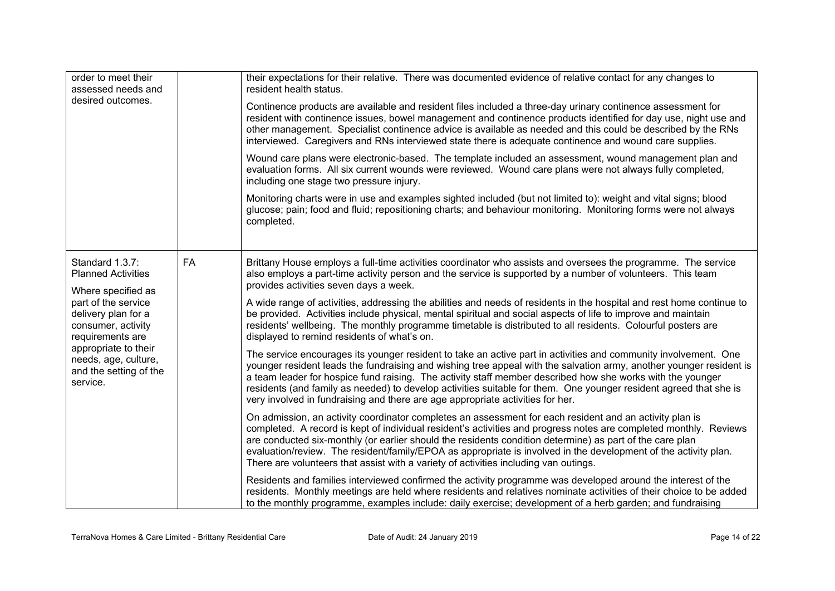| order to meet their<br>assessed needs and<br>desired outcomes.                                                                                                             |    | their expectations for their relative. There was documented evidence of relative contact for any changes to<br>resident health status.                                                                                                                                                                                                                                                                                                                                                                                                                      |  |  |
|----------------------------------------------------------------------------------------------------------------------------------------------------------------------------|----|-------------------------------------------------------------------------------------------------------------------------------------------------------------------------------------------------------------------------------------------------------------------------------------------------------------------------------------------------------------------------------------------------------------------------------------------------------------------------------------------------------------------------------------------------------------|--|--|
|                                                                                                                                                                            |    | Continence products are available and resident files included a three-day urinary continence assessment for<br>resident with continence issues, bowel management and continence products identified for day use, night use and<br>other management. Specialist continence advice is available as needed and this could be described by the RNs<br>interviewed. Caregivers and RNs interviewed state there is adequate continence and wound care supplies.                                                                                                   |  |  |
|                                                                                                                                                                            |    | Wound care plans were electronic-based. The template included an assessment, wound management plan and<br>evaluation forms. All six current wounds were reviewed. Wound care plans were not always fully completed,<br>including one stage two pressure injury.                                                                                                                                                                                                                                                                                             |  |  |
|                                                                                                                                                                            |    | Monitoring charts were in use and examples sighted included (but not limited to): weight and vital signs; blood<br>glucose; pain; food and fluid; repositioning charts; and behaviour monitoring. Monitoring forms were not always<br>completed.                                                                                                                                                                                                                                                                                                            |  |  |
| Standard 1.3.7:<br><b>Planned Activities</b><br>Where specified as                                                                                                         | FA | Brittany House employs a full-time activities coordinator who assists and oversees the programme. The service<br>also employs a part-time activity person and the service is supported by a number of volunteers. This team<br>provides activities seven days a week.                                                                                                                                                                                                                                                                                       |  |  |
| part of the service<br>delivery plan for a<br>consumer, activity<br>requirements are<br>appropriate to their<br>needs, age, culture,<br>and the setting of the<br>service. |    | A wide range of activities, addressing the abilities and needs of residents in the hospital and rest home continue to<br>be provided. Activities include physical, mental spiritual and social aspects of life to improve and maintain<br>residents' wellbeing. The monthly programme timetable is distributed to all residents. Colourful posters are<br>displayed to remind residents of what's on.                                                                                                                                                       |  |  |
|                                                                                                                                                                            |    | The service encourages its younger resident to take an active part in activities and community involvement. One<br>younger resident leads the fundraising and wishing tree appeal with the salvation army, another younger resident is<br>a team leader for hospice fund raising. The activity staff member described how she works with the younger<br>residents (and family as needed) to develop activities suitable for them. One younger resident agreed that she is<br>very involved in fundraising and there are age appropriate activities for her. |  |  |
|                                                                                                                                                                            |    | On admission, an activity coordinator completes an assessment for each resident and an activity plan is<br>completed. A record is kept of individual resident's activities and progress notes are completed monthly. Reviews<br>are conducted six-monthly (or earlier should the residents condition determine) as part of the care plan<br>evaluation/review. The resident/family/EPOA as appropriate is involved in the development of the activity plan.<br>There are volunteers that assist with a variety of activities including van outings.         |  |  |
|                                                                                                                                                                            |    | Residents and families interviewed confirmed the activity programme was developed around the interest of the<br>residents. Monthly meetings are held where residents and relatives nominate activities of their choice to be added<br>to the monthly programme, examples include: daily exercise; development of a herb garden; and fundraising                                                                                                                                                                                                             |  |  |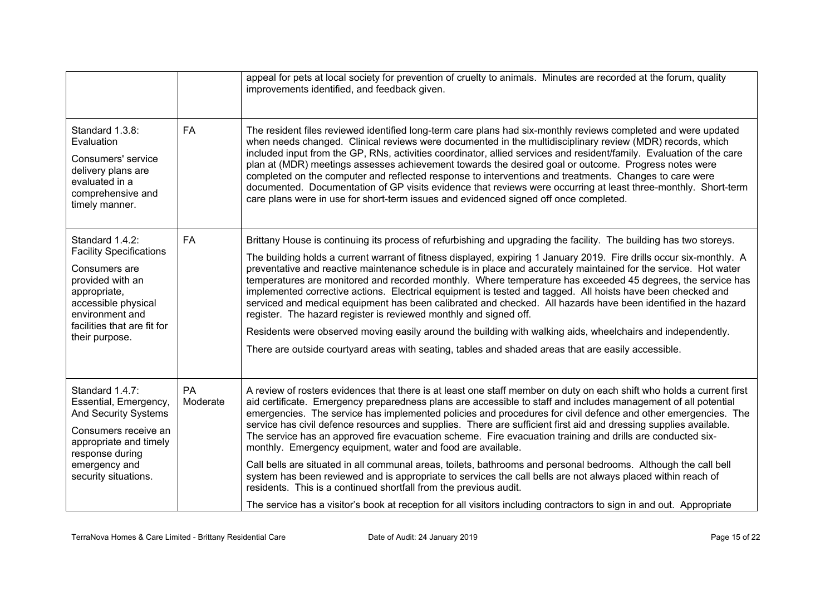|                                                                                                                                                                                                   |                | appeal for pets at local society for prevention of cruelty to animals. Minutes are recorded at the forum, quality<br>improvements identified, and feedback given.                                                                                                                                                                                                                                                                                                                                                                                                                                                                                                                                                                                                                                                                                                                                                                                                                                                                                                                          |
|---------------------------------------------------------------------------------------------------------------------------------------------------------------------------------------------------|----------------|--------------------------------------------------------------------------------------------------------------------------------------------------------------------------------------------------------------------------------------------------------------------------------------------------------------------------------------------------------------------------------------------------------------------------------------------------------------------------------------------------------------------------------------------------------------------------------------------------------------------------------------------------------------------------------------------------------------------------------------------------------------------------------------------------------------------------------------------------------------------------------------------------------------------------------------------------------------------------------------------------------------------------------------------------------------------------------------------|
| Standard 1.3.8:<br>Evaluation<br>Consumers' service<br>delivery plans are<br>evaluated in a<br>comprehensive and<br>timely manner.                                                                | <b>FA</b>      | The resident files reviewed identified long-term care plans had six-monthly reviews completed and were updated<br>when needs changed. Clinical reviews were documented in the multidisciplinary review (MDR) records, which<br>included input from the GP, RNs, activities coordinator, allied services and resident/family. Evaluation of the care<br>plan at (MDR) meetings assesses achievement towards the desired goal or outcome. Progress notes were<br>completed on the computer and reflected response to interventions and treatments. Changes to care were<br>documented. Documentation of GP visits evidence that reviews were occurring at least three-monthly. Short-term<br>care plans were in use for short-term issues and evidenced signed off once completed.                                                                                                                                                                                                                                                                                                           |
| Standard 1.4.2:<br><b>Facility Specifications</b><br>Consumers are<br>provided with an<br>appropriate,<br>accessible physical<br>environment and<br>facilities that are fit for<br>their purpose. | <b>FA</b>      | Brittany House is continuing its process of refurbishing and upgrading the facility. The building has two storeys.<br>The building holds a current warrant of fitness displayed, expiring 1 January 2019. Fire drills occur six-monthly. A<br>preventative and reactive maintenance schedule is in place and accurately maintained for the service. Hot water<br>temperatures are monitored and recorded monthly. Where temperature has exceeded 45 degrees, the service has<br>implemented corrective actions. Electrical equipment is tested and tagged. All hoists have been checked and<br>serviced and medical equipment has been calibrated and checked. All hazards have been identified in the hazard<br>register. The hazard register is reviewed monthly and signed off.<br>Residents were observed moving easily around the building with walking aids, wheelchairs and independently.<br>There are outside courtyard areas with seating, tables and shaded areas that are easily accessible.                                                                                   |
| Standard 1.4.7:<br>Essential, Emergency,<br><b>And Security Systems</b><br>Consumers receive an<br>appropriate and timely<br>response during<br>emergency and<br>security situations.             | PA<br>Moderate | A review of rosters evidences that there is at least one staff member on duty on each shift who holds a current first<br>aid certificate. Emergency preparedness plans are accessible to staff and includes management of all potential<br>emergencies. The service has implemented policies and procedures for civil defence and other emergencies. The<br>service has civil defence resources and supplies. There are sufficient first aid and dressing supplies available.<br>The service has an approved fire evacuation scheme. Fire evacuation training and drills are conducted six-<br>monthly. Emergency equipment, water and food are available.<br>Call bells are situated in all communal areas, toilets, bathrooms and personal bedrooms. Although the call bell<br>system has been reviewed and is appropriate to services the call bells are not always placed within reach of<br>residents. This is a continued shortfall from the previous audit.<br>The service has a visitor's book at reception for all visitors including contractors to sign in and out. Appropriate |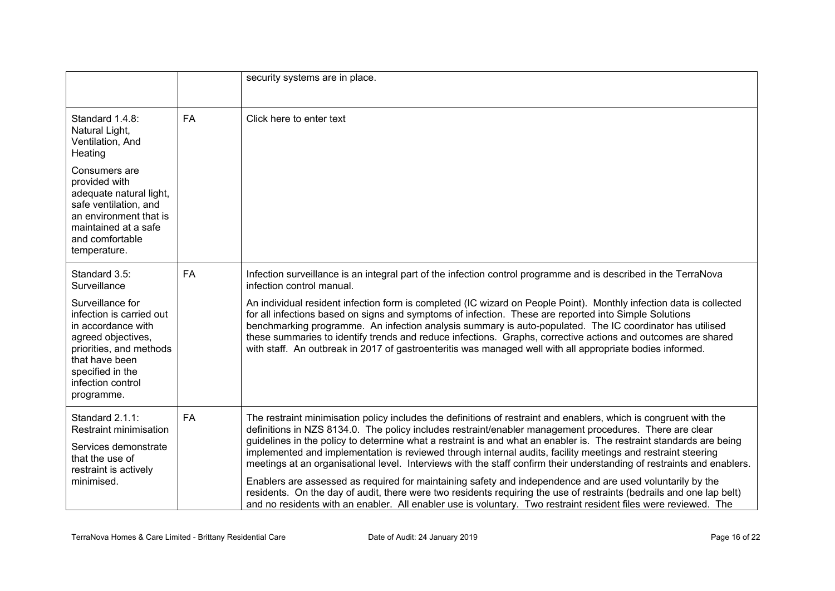|                                                                                                                                                                                              |           | security systems are in place.                                                                                                                                                                                                                                                                                                                                                                                                                                                                                                                                                                                                                                                                             |
|----------------------------------------------------------------------------------------------------------------------------------------------------------------------------------------------|-----------|------------------------------------------------------------------------------------------------------------------------------------------------------------------------------------------------------------------------------------------------------------------------------------------------------------------------------------------------------------------------------------------------------------------------------------------------------------------------------------------------------------------------------------------------------------------------------------------------------------------------------------------------------------------------------------------------------------|
| Standard 1.4.8:<br>Natural Light,<br>Ventilation, And<br>Heating                                                                                                                             | <b>FA</b> | Click here to enter text                                                                                                                                                                                                                                                                                                                                                                                                                                                                                                                                                                                                                                                                                   |
| Consumers are<br>provided with<br>adequate natural light,<br>safe ventilation, and<br>an environment that is<br>maintained at a safe<br>and comfortable<br>temperature.                      |           |                                                                                                                                                                                                                                                                                                                                                                                                                                                                                                                                                                                                                                                                                                            |
| Standard 3.5:<br>Surveillance                                                                                                                                                                | <b>FA</b> | Infection surveillance is an integral part of the infection control programme and is described in the TerraNova<br>infection control manual.                                                                                                                                                                                                                                                                                                                                                                                                                                                                                                                                                               |
| Surveillance for<br>infection is carried out<br>in accordance with<br>agreed objectives,<br>priorities, and methods<br>that have been<br>specified in the<br>infection control<br>programme. |           | An individual resident infection form is completed (IC wizard on People Point). Monthly infection data is collected<br>for all infections based on signs and symptoms of infection. These are reported into Simple Solutions<br>benchmarking programme. An infection analysis summary is auto-populated. The IC coordinator has utilised<br>these summaries to identify trends and reduce infections. Graphs, corrective actions and outcomes are shared<br>with staff. An outbreak in 2017 of gastroenteritis was managed well with all appropriate bodies informed.                                                                                                                                      |
| Standard 2.1.1:<br>Restraint minimisation<br>Services demonstrate<br>that the use of<br>restraint is actively<br>minimised.                                                                  | FA        | The restraint minimisation policy includes the definitions of restraint and enablers, which is congruent with the<br>definitions in NZS 8134.0. The policy includes restraint/enabler management procedures. There are clear<br>guidelines in the policy to determine what a restraint is and what an enabler is. The restraint standards are being<br>implemented and implementation is reviewed through internal audits, facility meetings and restraint steering<br>meetings at an organisational level. Interviews with the staff confirm their understanding of restraints and enablers.<br>Enablers are assessed as required for maintaining safety and independence and are used voluntarily by the |
|                                                                                                                                                                                              |           | residents. On the day of audit, there were two residents requiring the use of restraints (bedrails and one lap belt)<br>and no residents with an enabler. All enabler use is voluntary. Two restraint resident files were reviewed. The                                                                                                                                                                                                                                                                                                                                                                                                                                                                    |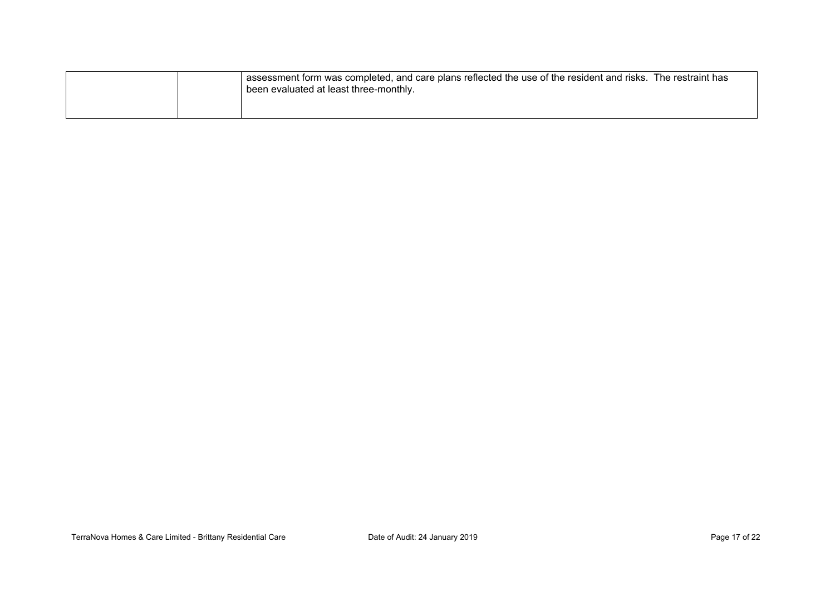|  | assessment form was completed, and care plans reflected the use of the resident and risks. The restraint has<br>been evaluated at least three-monthly. |  |
|--|--------------------------------------------------------------------------------------------------------------------------------------------------------|--|
|  |                                                                                                                                                        |  |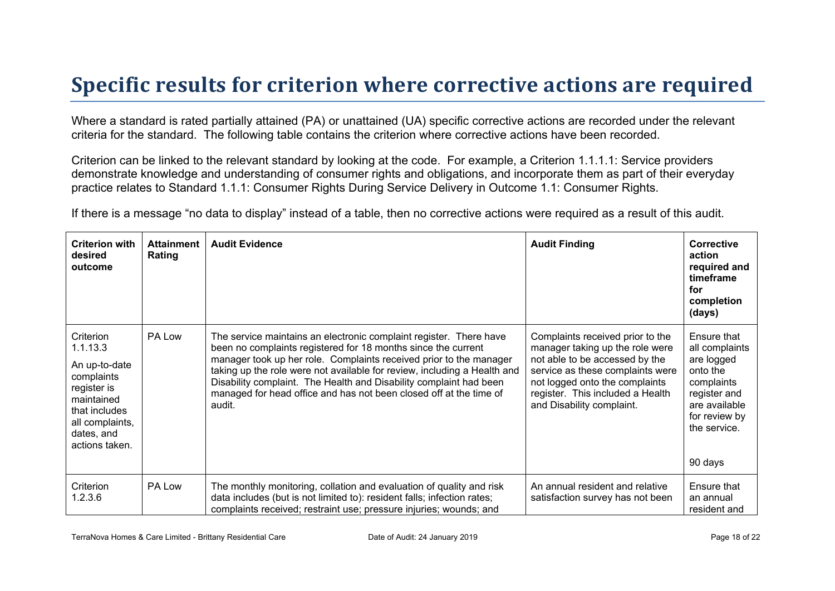### **Specific results for criterion where corrective actions are required**

Where a standard is rated partially attained (PA) or unattained (UA) specific corrective actions are recorded under the relevant criteria for the standard. The following table contains the criterion where corrective actions have been recorded.

Criterion can be linked to the relevant standard by looking at the code. For example, a Criterion 1.1.1.1: Service providers demonstrate knowledge and understanding of consumer rights and obligations, and incorporate them as part of their everyday practice relates to Standard 1.1.1: Consumer Rights During Service Delivery in Outcome 1.1: Consumer Rights.

If there is a message "no data to display" instead of a table, then no corrective actions were required as a result of this audit.

| <b>Criterion with</b><br>desired<br>outcome                                                                                                           | <b>Attainment</b><br>Rating | <b>Audit Evidence</b>                                                                                                                                                                                                                                                                                                                                                                                                                       | <b>Audit Finding</b>                                                                                                                                                                                                                         | Corrective<br>action<br>required and<br>timeframe<br>for<br>completion<br>(days)                                                                   |
|-------------------------------------------------------------------------------------------------------------------------------------------------------|-----------------------------|---------------------------------------------------------------------------------------------------------------------------------------------------------------------------------------------------------------------------------------------------------------------------------------------------------------------------------------------------------------------------------------------------------------------------------------------|----------------------------------------------------------------------------------------------------------------------------------------------------------------------------------------------------------------------------------------------|----------------------------------------------------------------------------------------------------------------------------------------------------|
| Criterion<br>1.1.13.3<br>An up-to-date<br>complaints<br>register is<br>maintained<br>that includes<br>all complaints,<br>dates, and<br>actions taken. | PA Low                      | The service maintains an electronic complaint register. There have<br>been no complaints registered for 18 months since the current<br>manager took up her role. Complaints received prior to the manager<br>taking up the role were not available for review, including a Health and<br>Disability complaint. The Health and Disability complaint had been<br>managed for head office and has not been closed off at the time of<br>audit. | Complaints received prior to the<br>manager taking up the role were<br>not able to be accessed by the<br>service as these complaints were<br>not logged onto the complaints<br>register. This included a Health<br>and Disability complaint. | Ensure that<br>all complaints<br>are logged<br>onto the<br>complaints<br>register and<br>are available<br>for review by<br>the service.<br>90 days |
| Criterion<br>1.2.3.6                                                                                                                                  | PA Low                      | The monthly monitoring, collation and evaluation of quality and risk<br>data includes (but is not limited to): resident falls; infection rates;<br>complaints received; restraint use; pressure injuries; wounds; and                                                                                                                                                                                                                       | An annual resident and relative<br>satisfaction survey has not been                                                                                                                                                                          | Ensure that<br>an annual<br>resident and                                                                                                           |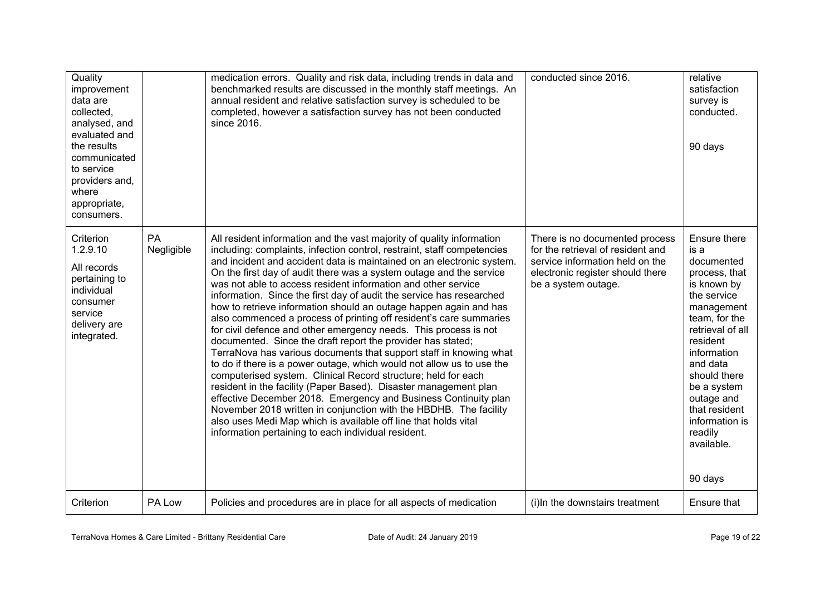| Quality<br>improvement<br>data are<br>collected.<br>analysed, and<br>evaluated and<br>the results<br>communicated<br>to service<br>providers and,<br>where<br>appropriate,<br>consumers. |                  | medication errors. Quality and risk data, including trends in data and<br>benchmarked results are discussed in the monthly staff meetings. An<br>annual resident and relative satisfaction survey is scheduled to be<br>completed, however a satisfaction survey has not been conducted<br>since 2016.                                                                                                                                                                                                                                                                                                                                                                                                                                                                                                                                                                                                                                                                                                                                                                                                                                                                                                                                                                        | conducted since 2016.                                                                                                                                             | relative<br>satisfaction<br>survey is<br>conducted.<br>90 days                                                                                                                                                                                                                                  |
|------------------------------------------------------------------------------------------------------------------------------------------------------------------------------------------|------------------|-------------------------------------------------------------------------------------------------------------------------------------------------------------------------------------------------------------------------------------------------------------------------------------------------------------------------------------------------------------------------------------------------------------------------------------------------------------------------------------------------------------------------------------------------------------------------------------------------------------------------------------------------------------------------------------------------------------------------------------------------------------------------------------------------------------------------------------------------------------------------------------------------------------------------------------------------------------------------------------------------------------------------------------------------------------------------------------------------------------------------------------------------------------------------------------------------------------------------------------------------------------------------------|-------------------------------------------------------------------------------------------------------------------------------------------------------------------|-------------------------------------------------------------------------------------------------------------------------------------------------------------------------------------------------------------------------------------------------------------------------------------------------|
| Criterion<br>1.2.9.10<br>All records<br>pertaining to<br>individual<br>consumer<br>service<br>delivery are<br>integrated.                                                                | PA<br>Negligible | All resident information and the vast majority of quality information<br>including: complaints, infection control, restraint, staff competencies<br>and incident and accident data is maintained on an electronic system.<br>On the first day of audit there was a system outage and the service<br>was not able to access resident information and other service<br>information. Since the first day of audit the service has researched<br>how to retrieve information should an outage happen again and has<br>also commenced a process of printing off resident's care summaries<br>for civil defence and other emergency needs. This process is not<br>documented. Since the draft report the provider has stated;<br>TerraNova has various documents that support staff in knowing what<br>to do if there is a power outage, which would not allow us to use the<br>computerised system. Clinical Record structure; held for each<br>resident in the facility (Paper Based). Disaster management plan<br>effective December 2018. Emergency and Business Continuity plan<br>November 2018 written in conjunction with the HBDHB. The facility<br>also uses Medi Map which is available off line that holds vital<br>information pertaining to each individual resident. | There is no documented process<br>for the retrieval of resident and<br>service information held on the<br>electronic register should there<br>be a system outage. | Ensure there<br>is a<br>documented<br>process, that<br>is known by<br>the service<br>management<br>team, for the<br>retrieval of all<br>resident<br>information<br>and data<br>should there<br>be a system<br>outage and<br>that resident<br>information is<br>readily<br>available.<br>90 days |
| Criterion                                                                                                                                                                                | PA Low           | Policies and procedures are in place for all aspects of medication                                                                                                                                                                                                                                                                                                                                                                                                                                                                                                                                                                                                                                                                                                                                                                                                                                                                                                                                                                                                                                                                                                                                                                                                            | (i) In the downstairs treatment                                                                                                                                   | Ensure that                                                                                                                                                                                                                                                                                     |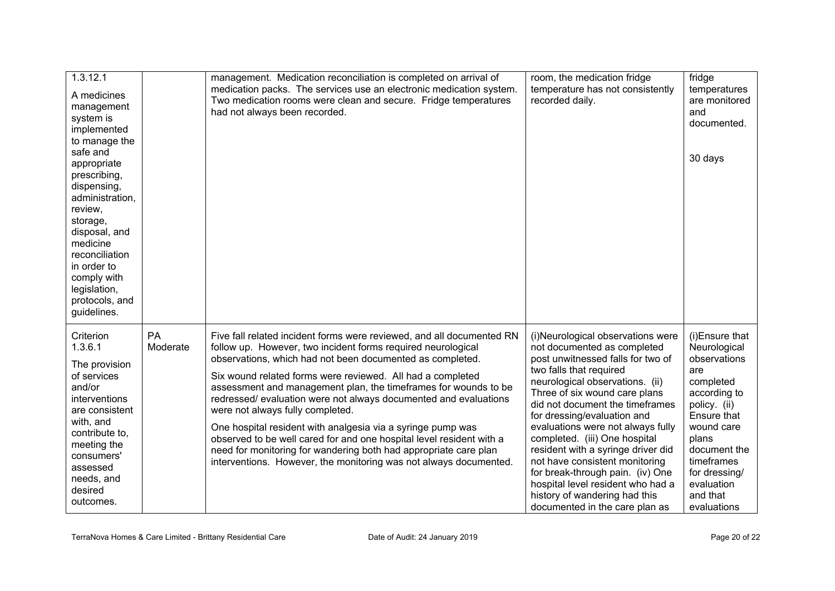| 1.3.12.1<br>A medicines<br>management<br>system is<br>implemented<br>to manage the<br>safe and<br>appropriate<br>prescribing,<br>dispensing,<br>administration,<br>review,<br>storage,<br>disposal, and<br>medicine<br>reconciliation<br>in order to<br>comply with<br>legislation,<br>protocols, and<br>guidelines. |                | management. Medication reconciliation is completed on arrival of<br>medication packs. The services use an electronic medication system.<br>Two medication rooms were clean and secure. Fridge temperatures<br>had not always been recorded.                                                                                                                                                                                                                                                                                                                                                                                                                                                                                | room, the medication fridge<br>temperature has not consistently<br>recorded daily.                                                                                                                                                                                                                                                                                                                                                                                                                                                                               | fridge<br>temperatures<br>are monitored<br>and<br>documented.<br>30 days                                                                                                                                                         |
|----------------------------------------------------------------------------------------------------------------------------------------------------------------------------------------------------------------------------------------------------------------------------------------------------------------------|----------------|----------------------------------------------------------------------------------------------------------------------------------------------------------------------------------------------------------------------------------------------------------------------------------------------------------------------------------------------------------------------------------------------------------------------------------------------------------------------------------------------------------------------------------------------------------------------------------------------------------------------------------------------------------------------------------------------------------------------------|------------------------------------------------------------------------------------------------------------------------------------------------------------------------------------------------------------------------------------------------------------------------------------------------------------------------------------------------------------------------------------------------------------------------------------------------------------------------------------------------------------------------------------------------------------------|----------------------------------------------------------------------------------------------------------------------------------------------------------------------------------------------------------------------------------|
| Criterion<br>1.3.6.1<br>The provision<br>of services<br>and/or<br>interventions<br>are consistent<br>with, and<br>contribute to,<br>meeting the<br>consumers'<br>assessed<br>needs, and<br>desired<br>outcomes.                                                                                                      | PA<br>Moderate | Five fall related incident forms were reviewed, and all documented RN<br>follow up. However, two incident forms required neurological<br>observations, which had not been documented as completed.<br>Six wound related forms were reviewed. All had a completed<br>assessment and management plan, the timeframes for wounds to be<br>redressed/evaluation were not always documented and evaluations<br>were not always fully completed.<br>One hospital resident with analgesia via a syringe pump was<br>observed to be well cared for and one hospital level resident with a<br>need for monitoring for wandering both had appropriate care plan<br>interventions. However, the monitoring was not always documented. | (i)Neurological observations were<br>not documented as completed<br>post unwitnessed falls for two of<br>two falls that required<br>neurological observations. (ii)<br>Three of six wound care plans<br>did not document the timeframes<br>for dressing/evaluation and<br>evaluations were not always fully<br>completed. (iii) One hospital<br>resident with a syringe driver did<br>not have consistent monitoring<br>for break-through pain. (iv) One<br>hospital level resident who had a<br>history of wandering had this<br>documented in the care plan as | (i)Ensure that<br>Neurological<br>observations<br>are<br>completed<br>according to<br>policy. (ii)<br>Ensure that<br>wound care<br>plans<br>document the<br>timeframes<br>for dressing/<br>evaluation<br>and that<br>evaluations |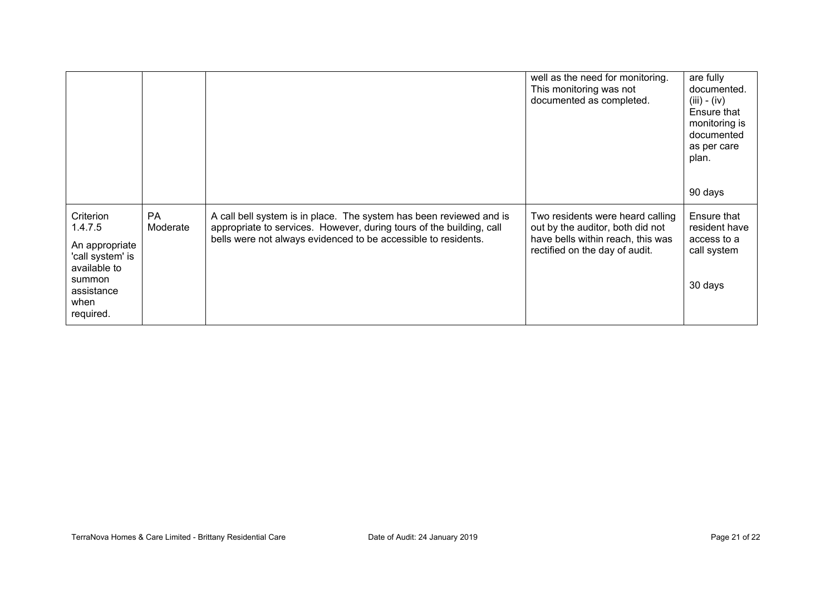|                                                                                                                         |                |                                                                                                                                                                                                               | well as the need for monitoring.<br>This monitoring was not<br>documented as completed.                                                     | are fully<br>documented.<br>$(iii) - (iv)$<br>Ensure that<br>monitoring is<br>documented<br>as per care<br>plan.<br>90 days |
|-------------------------------------------------------------------------------------------------------------------------|----------------|---------------------------------------------------------------------------------------------------------------------------------------------------------------------------------------------------------------|---------------------------------------------------------------------------------------------------------------------------------------------|-----------------------------------------------------------------------------------------------------------------------------|
| Criterion<br>1.4.7.5<br>An appropriate<br>'call system' is<br>available to<br>summon<br>assistance<br>when<br>required. | PA<br>Moderate | A call bell system is in place. The system has been reviewed and is<br>appropriate to services. However, during tours of the building, call<br>bells were not always evidenced to be accessible to residents. | Two residents were heard calling<br>out by the auditor, both did not<br>have bells within reach, this was<br>rectified on the day of audit. | Ensure that<br>resident have<br>access to a<br>call system<br>30 days                                                       |